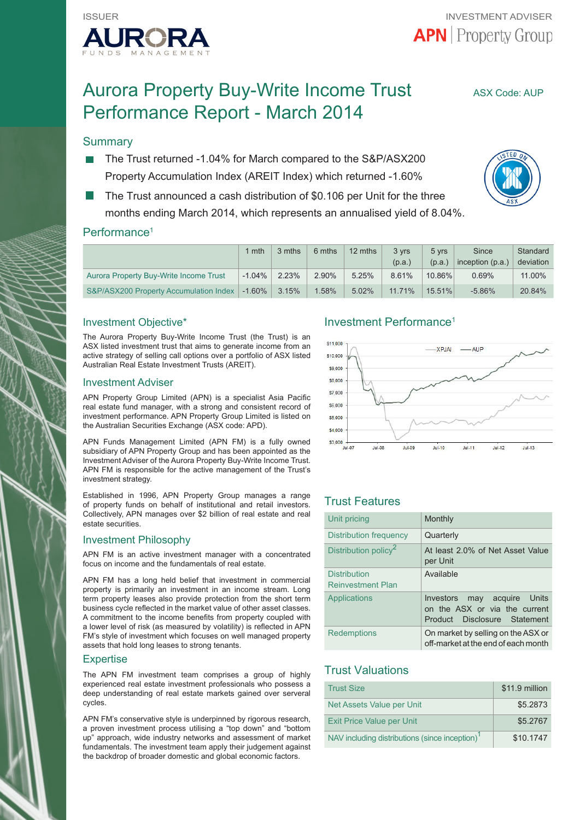

# Aurora Property Buy-Write Income Trust ASX Code: AUP Performance Report - March 2014

# **Summary**

- The Trust returned -1.04% for March compared to the S&P/ASX200 Property Accumulation Index (AREIT Index) which returned -1.60%
- The Trust announced a cash distribution of \$0.106 per Unit for the three months ending March 2014, which represents an annualised yield of 8.04%.



# Performance<sup>1</sup>

|                                        | mth       | 3 mths | 6 mths   | 12 mths | 3 yrs<br>(p.a.) | 5 vrs<br>(p.a.) | Since<br>inception $(p.a.)$ | Standard<br>deviation |
|----------------------------------------|-----------|--------|----------|---------|-----------------|-----------------|-----------------------------|-----------------------|
| Aurora Property Buy-Write Income Trust | $-1.04\%$ | 2.23%  | 2.90%    | 5.25%   | 8.61%           | 10.86%          | $0.69\%$                    | 11.00%                |
| S&P/ASX200 Property Accumulation Index | $-1.60\%$ | 3.15%  | $1.58\%$ | 5.02%   | $11.71\%$       | 15.51%          | $-5.86%$                    | 20.84%                |

## Investment Objective\*

The Aurora Property Buy-Write Income Trust (the Trust) is an ASX listed investment trust that aims to generate income from an active strategy of selling call options over a portfolio of ASX listed Australian Real Estate Investment Trusts (AREIT).

#### Investment Adviser

APN Property Group Limited (APN) is a specialist Asia Pacific real estate fund manager, with a strong and consistent record of investment performance. APN Property Group Limited is listed on the Australian Securities Exchange (ASX code: APD).

APN Funds Management Limited (APN FM) is a fully owned subsidiary of APN Property Group and has been appointed as the Investment Adviser of the Aurora Property Buy-Write Income Trust. APN FM is responsible for the active management of the Trust's investment strategy.

Established in 1996, APN Property Group manages a range of property funds on behalf of institutional and retail investors. Collectively, APN manages over \$2 billion of real estate and real estate securities.

#### Investment Philosophy

APN FM is an active investment manager with a concentrated focus on income and the fundamentals of real estate.

APN FM has a long held belief that investment in commercial property is primarily an investment in an income stream. Long term property leases also provide protection from the short term business cycle reflected in the market value of other asset classes. A commitment to the income benefits from property coupled with a lower level of risk (as measured by volatility) is reflected in APN FM's style of investment which focuses on well managed property assets that hold long leases to strong tenants.

#### **Expertise**

The APN FM investment team comprises a group of highly experienced real estate investment professionals who possess a deep understanding of real estate markets gained over serveral cycles.

APN FM's conservative style is underpinned by rigorous research, a proven investment process utilising a "top down" and "bottom up" approach, wide industry networks and assessment of market fundamentals. The investment team apply their judgement against the backdrop of broader domestic and global economic factors.

## Investment Performance1



# Trust Features

| Unit pricing                                    | Monthly                                                                                         |
|-------------------------------------------------|-------------------------------------------------------------------------------------------------|
| Distribution frequency                          | Quarterly                                                                                       |
| Distribution policy <sup>2</sup>                | At least 2.0% of Net Asset Value<br>per Unit                                                    |
| <b>Distribution</b><br><b>Reinvestment Plan</b> | Available                                                                                       |
| <b>Applications</b>                             | Investors<br>may acquire Units<br>on the ASX or via the current<br>Product Disclosure Statement |
| <b>Redemptions</b>                              | On market by selling on the ASX or<br>off-market at the end of each month                       |

# Trust Valuations

| <b>Trust Size</b>                                          | \$11.9 million |
|------------------------------------------------------------|----------------|
| Net Assets Value per Unit                                  | \$5,2873       |
| <b>Exit Price Value per Unit</b>                           | \$5,2767       |
| NAV including distributions (since inception) <sup>1</sup> | \$10.1747      |